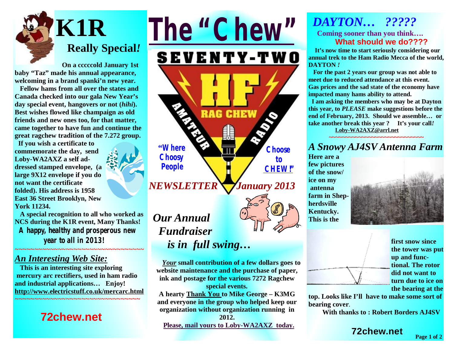

 **On a cccccold January 1st baby "Taz" made his annual appearance, welcoming in a brand spanki'n new year.** 

**Fellow hams from all over the states and Canada checked into our gala New Year's day special event, hangovers or not (***hihi***). Best wishes flowed like champaign as old friends and new ones too, for that matter, came together to have fun and continue the great ragchew tradition of the 7.272 group.** 

 **If you wish a certificate to commemorate the day, send Loby-WA2AXZ a self addressed stamped envelope, (a large 9X12 envelope if you do not want the certificate folded). His address is 1958 East 36 Street Brooklyn, New York 11234.** 

**A special recognition to all who worked as NCS during the K1R event, Many Thanks! A happy, healthy and prosperous new year to all in 2013***!*

*~~~~~~~~~~~~~~~~~~~~~~~~~~~~~~~~~* 

#### *An Interesting Web Site:*

**This is an interesting site exploring mercury arc rectifiers, used in ham radio and industrial applications… Enjoy! <http://www.electricstuff.co.uk/mercarc.html>**

*~~~~~~~~~~~~~~~~~~~~~~~~~~~~~~~~*

## **72chew.net**

*The "Chew"* **SEVENTY-TWO RAG CHEW "Where Choose Choosy to People CHEW!"** *NEWSLETTER*  *January 2013*

# *Our Annual Fundraiser is in full swing…*

 *Your* **small contribution of a few dollars goes to website maintenance and the purchase of paper, ink and postage for the various 7272 Ragchew special events.** 

**A hearty Thank You to Mike George – K3MG and everyone in the group who helped keep our organization without organization running in** 

**2012.**

 **Please, mail yours to Loby-WA2AXZ today.** 

#### *DAYTON… ?????*  **Coming sooner than you think…. What should we do????**

 **It's now time to start seriously considering our annual trek to the Ham Radio Mecca of the world, DAYTON** *!*

**For the past 2 years our group was not able to meet due to reduced attendance at this event. Gas prices and the sad state of the economy have impacted many hams ability to attend.** 

 **I am asking the members who may be at Dayton this year, to** *PLEASE* **make suggestions before the end of February, 2013. Should we assemble… or take another break this year ? It's your call***!*

 **[Loby-WA2AXZ@arrl.net](mailto:Loby-WA2AXZ@arrl.net)** 

#### **~~~~~~~~~~~~~~~~~~~~~~~~~~~~~**  *A Snowy AJ4SV Antenna Farm*

**Here are a few pictures of the snow/ ice on my antenna farm in Shepherdsville Kentucky. This is the** 



**first snow since the tower was put up and functional. The rotor did not want to turn due to ice on the bearing at the** 

**top. Looks like I'll have to make some sort of bearing cover**.

 **With thanks to : Robert Borders AJ4SV**

**72chew.net**